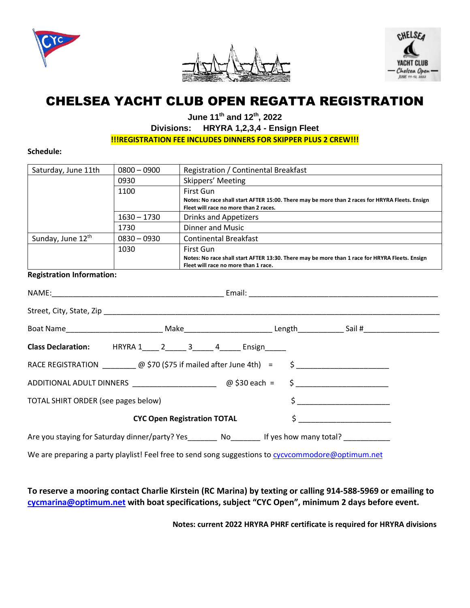





# CHELSEA YACHT CLUB OPEN REGATTA REGISTRATION

**June 11th and 12 th , 2022**

# **Divisions: HRYRA 1,2,3,4 - Ensign Fleet**

**!!!REGISTRATION FEE INCLUDES DINNERS FOR SKIPPER PLUS 2 CREW!!!**

**Schedule:**

| Saturday, June 11th           | $0800 - 0900$ | Registration / Continental Breakfast                                                                                                     |
|-------------------------------|---------------|------------------------------------------------------------------------------------------------------------------------------------------|
|                               | 0930          | Skippers' Meeting                                                                                                                        |
|                               | 1100          | First Gun                                                                                                                                |
|                               |               | Notes: No race shall start AFTER 15:00. There may be more than 2 races for HRYRA Fleets. Ensign<br>Fleet will race no more than 2 races. |
|                               | $1630 - 1730$ | <b>Drinks and Appetizers</b>                                                                                                             |
|                               | 1730          | Dinner and Music                                                                                                                         |
| Sunday, June 12 <sup>th</sup> | $0830 - 0930$ | <b>Continental Breakfast</b>                                                                                                             |
|                               | 1030          | First Gun                                                                                                                                |
|                               |               | Notes: No race shall start AFTER 13:30. There may be more than 1 race for HRYRA Fleets. Ensign<br>Fleet will race no more than 1 race.   |

#### **Registration Information:**

|                                     | Class Declaration: HRYRA 1____ 2_____ 3_____ 4_____ Ensign_____                                       |  |                 |  |
|-------------------------------------|-------------------------------------------------------------------------------------------------------|--|-----------------|--|
|                                     | RACE REGISTRATION $\Box$ @ \$70 (\$75 if mailed after June 4th) = \$                                  |  |                 |  |
|                                     | ADDITIONAL ADULT DINNERS ________________________________@ \$30 each = \$ ___________________________ |  |                 |  |
| TOTAL SHIRT ORDER (see pages below) |                                                                                                       |  | $\sharp$ $\Box$ |  |
|                                     | <b>CYC Open Registration TOTAL</b>                                                                    |  |                 |  |
|                                     | Are you staying for Saturday dinner/party? Yes No No If yes how many total?                           |  |                 |  |
|                                     |                                                                                                       |  |                 |  |

We are preparing a party playlist! Feel free to send song suggestions to [cycvcommodore@optimum.net](mailto:cycvcommodore@optimum.net)

### **To reserve a mooring contact Charlie Kirstein (RC Marina) by texting or calling 914-588-5969 or emailing to [cycmarina@optimum.net](mailto:cycmarina@optimum.net) with boat specifications, subject "CYC Open", minimum 2 days before event.**

**Notes: current 2022 HRYRA PHRF certificate is required for HRYRA divisions**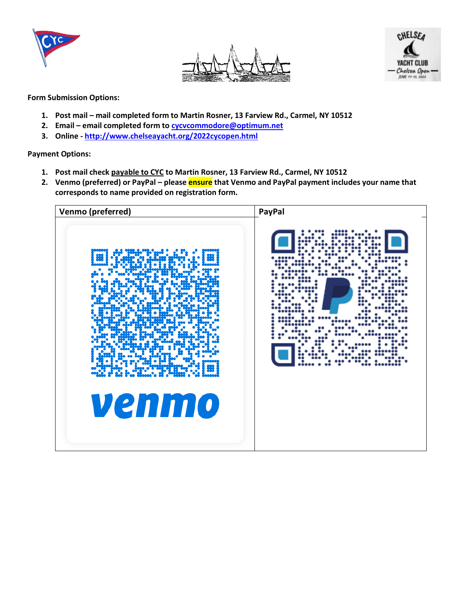





**Form Submission Options:**

- **1. Post mail – mail completed form to Martin Rosner, 13 Farview Rd., Carmel, NY 10512**
- **2. Email – email completed form to [cycvcommodore@optimum.net](mailto:cycvcommodore@optimum.net)**
- **3. Online - <http://www.chelseayacht.org/2022cycopen.html>**

**Payment Options:**

- **1. Post mail check payable to CYC to Martin Rosner, 13 Farview Rd., Carmel, NY 10512**
- **2. Venmo (preferred) or PayPal – please ensure that Venmo and PayPal payment includes your name that corresponds to name provided on registration form.**

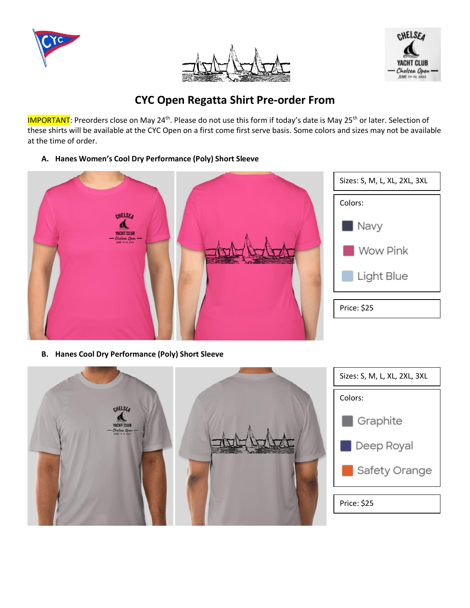





# **CYC Open Regatta Shirt Pre-order From**

IMPORTANT: Preorders close on May 24<sup>th</sup>. Please do not use this form if today's date is May 25<sup>th</sup> or later. Selection of these shirts will be available at the CYC Open on a first come first serve basis. Some colors and sizes may not be available at the time of order.

**A. Hanes Women's Cool Dry Performance (Poly) Short Sleeve** 



**B. Hanes Cool Dry Performance (Poly) Short Sleeve** 

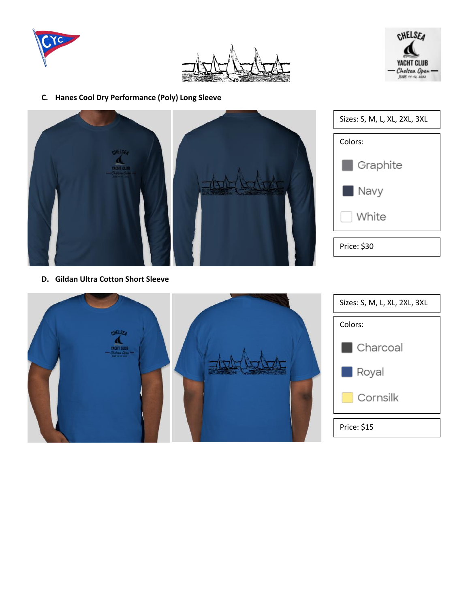





**C. Hanes Cool Dry Performance (Poly) Long Sleeve** 



| Sizes: S, M, L, XL, 2XL, 3XL |  |  |
|------------------------------|--|--|
| Colors:                      |  |  |
| Graphite                     |  |  |
| Navy                         |  |  |
| White                        |  |  |
| Price: \$30                  |  |  |

**D. Gildan Ultra Cotton Short Sleeve** 



| Sizes: S, M, L, XL, 2XL, 3XL |  |  |  |
|------------------------------|--|--|--|
| Colors:                      |  |  |  |
| Charcoal                     |  |  |  |
| Royal<br>a s                 |  |  |  |
| Cornsilk                     |  |  |  |
| Price: \$15                  |  |  |  |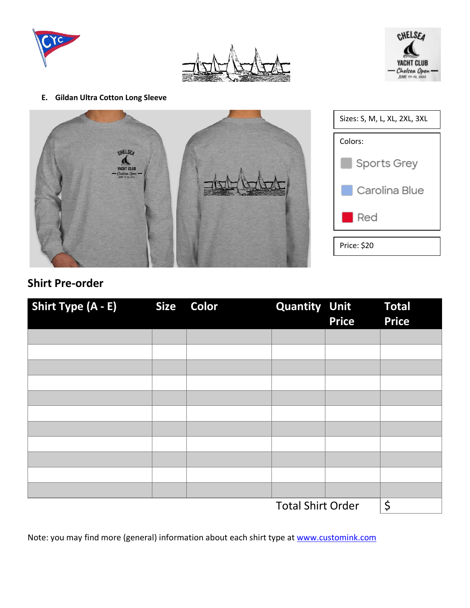





#### **E. Gildan Ultra Cotton Long Sleeve**



| Sizes: S, M, L, XL, 2XL, 3XL |  |  |
|------------------------------|--|--|
| Colors:                      |  |  |
| Sports Grey                  |  |  |
| Carolina Blue                |  |  |
| Red                          |  |  |
| Price: \$20                  |  |  |

# **Shirt Pre-order**

| Shirt Type (A - E) | <b>Size</b> | Color | <b>Quantity Unit</b>     | <b>Price</b> | <b>Total</b><br><b>Price</b> |
|--------------------|-------------|-------|--------------------------|--------------|------------------------------|
|                    |             |       |                          |              |                              |
|                    |             |       |                          |              |                              |
|                    |             |       |                          |              |                              |
|                    |             |       |                          |              |                              |
|                    |             |       |                          |              |                              |
|                    |             |       |                          |              |                              |
|                    |             |       |                          |              |                              |
|                    |             |       |                          |              |                              |
|                    |             |       |                          |              |                              |
|                    |             |       |                          |              |                              |
|                    |             |       |                          |              |                              |
|                    |             |       | <b>Total Shirt Order</b> |              | \$                           |

Note: you may find more (general) information about each shirt type at [www.customink.com](http://www.customink.com/)